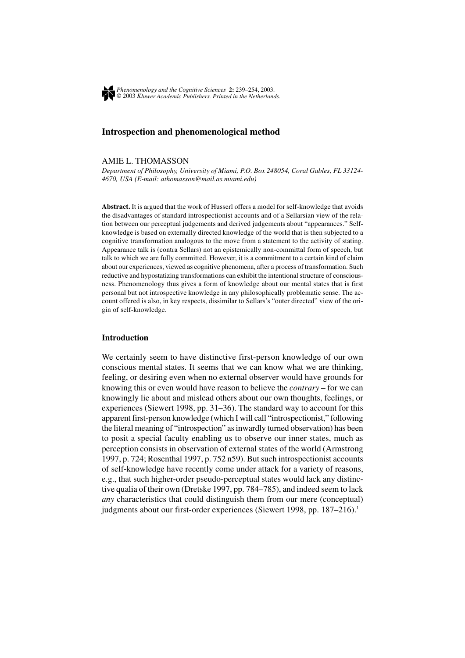Academic Publishers. Printed in the Netherlands. *Phenomenology and the Cognitive Sciences* **2:** 239–254, 2003. © 2003 *Kluwer Academic Publishers. Printed in the Netherlands.*

# **Introspection and phenomenological method**

#### AMIE L. THOMASSON

*Department of Philosophy, University of Miami, P.O. Box 248054, Coral Gables, FL 33124- 4670, USA (E-mail: athomasson@mail.as.miami.edu)*

**Abstract.** It is argued that the work of Husserl offers a model for self-knowledge that avoids the disadvantages of standard introspectionist accounts and of a Sellarsian view of the relation between our perceptual judgements and derived judgements about "appearances." Selfknowledge is based on externally directed knowledge of the world that is then subjected to a cognitive transformation analogous to the move from a statement to the activity of stating. Appearance talk is (contra Sellars) not an epistemically non-committal form of speech, but talk to which we are fully committed. However, it is a commitment to a certain kind of claim about our experiences, viewed as cognitive phenomena, after a process of transformation. Such reductive and hypostatizing transformations can exhibit the intentional structure of consciousness. Phenomenology thus gives a form of knowledge about our mental states that is first personal but not introspective knowledge in any philosophically problematic sense. The account offered is also, in key respects, dissimilar to Sellars's "outer directed" view of the origin of self-knowledge.

#### **Introduction**

We certainly seem to have distinctive first-person knowledge of our own conscious mental states. It seems that we can know what we are thinking, feeling, or desiring even when no external observer would have grounds for knowing this or even would have reason to believe the *contrary* – for we can knowingly lie about and mislead others about our own thoughts, feelings, or experiences (Siewert 1998, pp. 31–36). The standard way to account for this apparent first-person knowledge (which I will call "introspectionist," following the literal meaning of "introspection" as inwardly turned observation) has been to posit a special faculty enabling us to observe our inner states, much as perception consists in observation of external states of the world (Armstrong 1997, p. 724; Rosenthal 1997, p. 752 n59). But such introspectionist accounts of self-knowledge have recently come under attack for a variety of reasons, e.g., that such higher-order pseudo-perceptual states would lack any distinctive qualia of their own (Dretske 1997, pp. 784–785), and indeed seem to lack *any* characteristics that could distinguish them from our mere (conceptual) judgments about our first-order experiences (Siewert 1998, pp. 187–216).<sup>1</sup>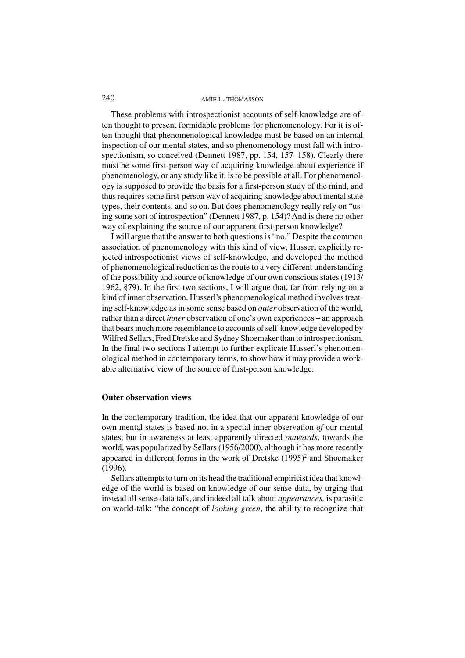These problems with introspectionist accounts of self-knowledge are often thought to present formidable problems for phenomenology. For it is often thought that phenomenological knowledge must be based on an internal inspection of our mental states, and so phenomenology must fall with introspectionism, so conceived (Dennett 1987, pp. 154, 157–158). Clearly there must be some first-person way of acquiring knowledge about experience if phenomenology, or any study like it, is to be possible at all. For phenomenology is supposed to provide the basis for a first-person study of the mind, and thus requires some first-person way of acquiring knowledge about mental state types, their contents, and so on. But does phenomenology really rely on "using some sort of introspection" (Dennett 1987, p. 154)? And is there no other way of explaining the source of our apparent first-person knowledge?

I will argue that the answer to both questions is "no." Despite the common association of phenomenology with this kind of view, Husserl explicitly rejected introspectionist views of self-knowledge, and developed the method of phenomenological reduction as the route to a very different understanding of the possibility and source of knowledge of our own conscious states (1913/ 1962, §79). In the first two sections, I will argue that, far from relying on a kind of inner observation, Husserl's phenomenological method involves treating self-knowledge as in some sense based on *outer* observation of the world, rather than a direct *inner* observation of one's own experiences – an approach that bears much more resemblance to accounts of self-knowledge developed by Wilfred Sellars, Fred Dretske and Sydney Shoemaker than to introspectionism. In the final two sections I attempt to further explicate Husserl's phenomenological method in contemporary terms, to show how it may provide a workable alternative view of the source of first-person knowledge.

# **Outer observation views**

In the contemporary tradition, the idea that our apparent knowledge of our own mental states is based not in a special inner observation *of* our mental states, but in awareness at least apparently directed *outwards*, towards the world, was popularized by Sellars (1956/2000), although it has more recently appeared in different forms in the work of Dretske (1995)<sup>2</sup> and Shoemaker (1996).

Sellars attempts to turn on its head the traditional empiricist idea that knowledge of the world is based on knowledge of our sense data, by urging that instead all sense-data talk, and indeed all talk about *appearances,* is parasitic on world-talk: "the concept of *looking green*, the ability to recognize that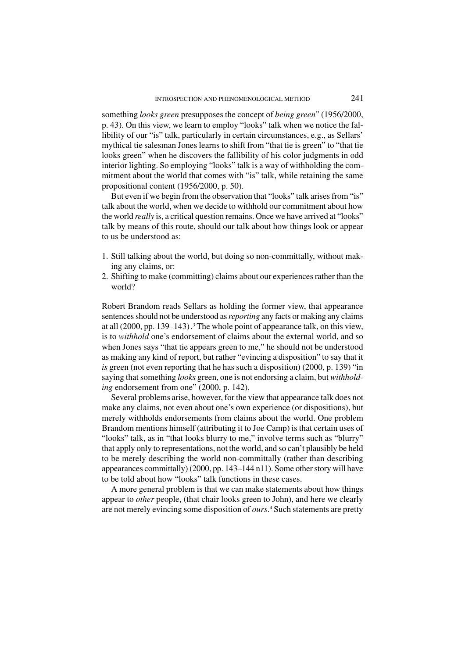something *looks green* presupposes the concept of *being green*" (1956/2000, p. 43). On this view, we learn to employ "looks" talk when we notice the fallibility of our "is" talk, particularly in certain circumstances, e.g., as Sellars' mythical tie salesman Jones learns to shift from "that tie is green" to "that tie looks green" when he discovers the fallibility of his color judgments in odd interior lighting. So employing "looks" talk is a way of withholding the commitment about the world that comes with "is" talk, while retaining the same propositional content (1956/2000, p. 50).

But even if we begin from the observation that "looks" talk arises from "is" talk about the world, when we decide to withhold our commitment about how the world *really* is, a critical question remains. Once we have arrived at "looks" talk by means of this route, should our talk about how things look or appear to us be understood as:

- 1. Still talking about the world, but doing so non-committally, without making any claims, or:
- 2. Shifting to make (committing) claims about our experiences rather than the world?

Robert Brandom reads Sellars as holding the former view, that appearance sentences should not be understood as *reporting* any facts or making any claims at all (2000, pp. 139–143).<sup>3</sup> The whole point of appearance talk, on this view, is to *withhold* one's endorsement of claims about the external world, and so when Jones says "that tie appears green to me," he should not be understood as making any kind of report, but rather "evincing a disposition" to say that it *is* green (not even reporting that he has such a disposition) (2000, p. 139) "in saying that something *looks* green, one is not endorsing a claim, but *withholding* endorsement from one" (2000, p. 142).

Several problems arise, however, for the view that appearance talk does not make any claims, not even about one's own experience (or dispositions), but merely withholds endorsements from claims about the world. One problem Brandom mentions himself (attributing it to Joe Camp) is that certain uses of "looks" talk, as in "that looks blurry to me," involve terms such as "blurry" that apply only to representations, not the world, and so can't plausibly be held to be merely describing the world non-committally (rather than describing appearances committally) (2000, pp. 143–144 n11). Some other story will have to be told about how "looks" talk functions in these cases.

A more general problem is that we can make statements about how things appear to *other* people, (that chair looks green to John), and here we clearly are not merely evincing some disposition of *ours*. 4 Such statements are pretty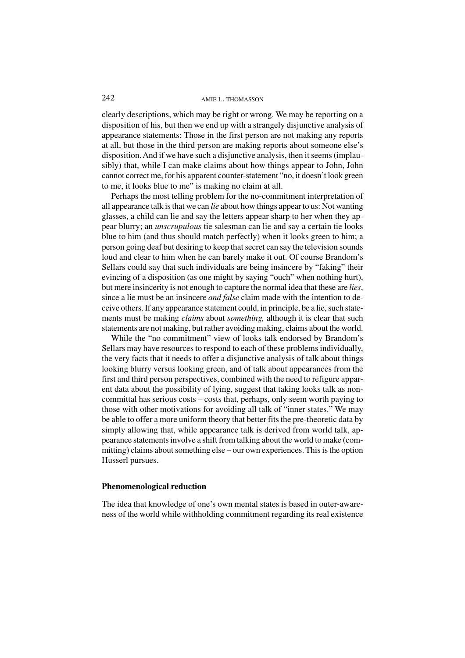clearly descriptions, which may be right or wrong. We may be reporting on a disposition of his, but then we end up with a strangely disjunctive analysis of appearance statements: Those in the first person are not making any reports at all, but those in the third person are making reports about someone else's disposition. And if we have such a disjunctive analysis, then it seems (implausibly) that, while I can make claims about how things appear to John, John cannot correct me, for his apparent counter-statement "no, it doesn't look green to me, it looks blue to me" is making no claim at all.

Perhaps the most telling problem for the no-commitment interpretation of all appearance talk is that we can *lie* about how things appear to us: Not wanting glasses, a child can lie and say the letters appear sharp to her when they appear blurry; an *unscrupulous* tie salesman can lie and say a certain tie looks blue to him (and thus should match perfectly) when it looks green to him; a person going deaf but desiring to keep that secret can say the television sounds loud and clear to him when he can barely make it out. Of course Brandom's Sellars could say that such individuals are being insincere by "faking" their evincing of a disposition (as one might by saying "ouch" when nothing hurt), but mere insincerity is not enough to capture the normal idea that these are *lies*, since a lie must be an insincere *and false* claim made with the intention to deceive others. If any appearance statement could, in principle, be a lie, such statements must be making *claims* about *something,* although it is clear that such statements are not making, but rather avoiding making, claims about the world.

While the "no commitment" view of looks talk endorsed by Brandom's Sellars may have resources to respond to each of these problems individually, the very facts that it needs to offer a disjunctive analysis of talk about things looking blurry versus looking green, and of talk about appearances from the first and third person perspectives, combined with the need to refigure apparent data about the possibility of lying, suggest that taking looks talk as noncommittal has serious costs – costs that, perhaps, only seem worth paying to those with other motivations for avoiding all talk of "inner states." We may be able to offer a more uniform theory that better fits the pre-theoretic data by simply allowing that, while appearance talk is derived from world talk, appearance statements involve a shift from talking about the world to make (committing) claims about something else – our own experiences. This is the option Husserl pursues.

### **Phenomenological reduction**

The idea that knowledge of one's own mental states is based in outer-awareness of the world while withholding commitment regarding its real existence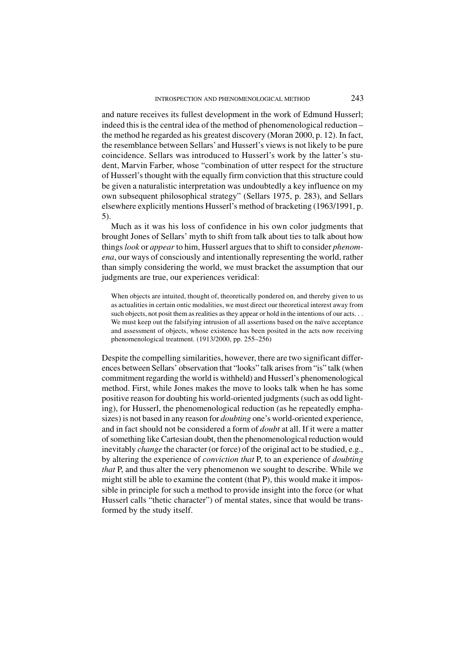and nature receives its fullest development in the work of Edmund Husserl; indeed this is the central idea of the method of phenomenological reduction – the method he regarded as his greatest discovery (Moran 2000, p. 12). In fact, the resemblance between Sellars' and Husserl's views is not likely to be pure coincidence. Sellars was introduced to Husserl's work by the latter's student, Marvin Farber, whose "combination of utter respect for the structure of Husserl's thought with the equally firm conviction that this structure could be given a naturalistic interpretation was undoubtedly a key influence on my own subsequent philosophical strategy" (Sellars 1975, p. 283), and Sellars elsewhere explicitly mentions Husserl's method of bracketing (1963/1991, p. 5).

Much as it was his loss of confidence in his own color judgments that brought Jones of Sellars' myth to shift from talk about ties to talk about how things *look* or *appear* to him, Husserl argues that to shift to consider *phenomena*, our ways of consciously and intentionally representing the world, rather than simply considering the world, we must bracket the assumption that our judgments are true, our experiences veridical:

When objects are intuited, thought of, theoretically pondered on, and thereby given to us as actualities in certain ontic modalities, we must direct our theoretical interest away from such objects, not posit them as realities as they appear or hold in the intentions of our acts. . . We must keep out the falsifying intrusion of all assertions based on the naïve acceptance and assessment of objects, whose existence has been posited in the acts now receiving phenomenological treatment. (1913/2000, pp. 255–256)

Despite the compelling similarities, however, there are two significant differences between Sellars' observation that "looks" talk arises from "is" talk (when commitment regarding the world is withheld) and Husserl's phenomenological method. First, while Jones makes the move to looks talk when he has some positive reason for doubting his world-oriented judgments (such as odd lighting), for Husserl, the phenomenological reduction (as he repeatedly emphasizes) is not based in any reason for *doubting* one's world-oriented experience, and in fact should not be considered a form of *doubt* at all. If it were a matter of something like Cartesian doubt, then the phenomenological reduction would inevitably *change* the character (or force) of the original act to be studied, e.g., by altering the experience of *conviction that* P, to an experience of *doubting that* P, and thus alter the very phenomenon we sought to describe. While we might still be able to examine the content (that P), this would make it impossible in principle for such a method to provide insight into the force (or what Husserl calls "thetic character") of mental states, since that would be transformed by the study itself.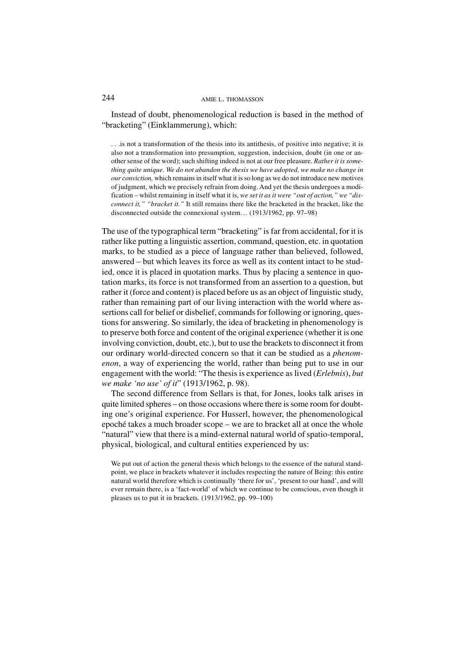Instead of doubt, phenomenological reduction is based in the method of "bracketing" (Einklammerung), which:

. . .is not a transformation of the thesis into its antithesis, of positive into negative; it is also not a transformation into presumption, suggestion, indecision, doubt (in one or another sense of the word); such shifting indeed is not at our free pleasure. *Rather it is something quite unique. We do not abandon the thesis we have adopted, we make no change in our conviction,* which remains in itself what it is so long as we do not introduce new motives of judgment, which we precisely refrain from doing. And yet the thesis undergoes a modification – whilst remaining in itself what it is, *we set it as it were "out of action," we "disconnect it," "bracket it."* It still remains there like the bracketed in the bracket, like the disconnected outside the connexional system… (1913/1962, pp. 97–98)

The use of the typographical term "bracketing" is far from accidental, for it is rather like putting a linguistic assertion, command, question, etc. in quotation marks, to be studied as a piece of language rather than believed, followed, answered – but which leaves its force as well as its content intact to be studied, once it is placed in quotation marks. Thus by placing a sentence in quotation marks, its force is not transformed from an assertion to a question, but rather it (force and content) is placed before us as an object of linguistic study, rather than remaining part of our living interaction with the world where assertions call for belief or disbelief, commands for following or ignoring, questions for answering. So similarly, the idea of bracketing in phenomenology is to preserve both force and content of the original experience (whether it is one involving conviction, doubt, etc.), but to use the brackets to disconnect it from our ordinary world-directed concern so that it can be studied as a *phenomenon*, a way of experiencing the world, rather than being put to use in our engagement with the world: "The thesis is experience as lived (*Erlebnis*), *but we make 'no use' of it*" (1913/1962, p. 98).

The second difference from Sellars is that, for Jones, looks talk arises in quite limited spheres – on those occasions where there is some room for doubting one's original experience. For Husserl, however, the phenomenological epoché takes a much broader scope – we are to bracket all at once the whole "natural" view that there is a mind-external natural world of spatio-temporal, physical, biological, and cultural entities experienced by us:

We put out of action the general thesis which belongs to the essence of the natural standpoint, we place in brackets whatever it includes respecting the nature of Being: this entire natural world therefore which is continually 'there for us', 'present to our hand', and will ever remain there, is a 'fact-world' of which we continue to be conscious, even though it pleases us to put it in brackets. (1913/1962, pp. 99–100)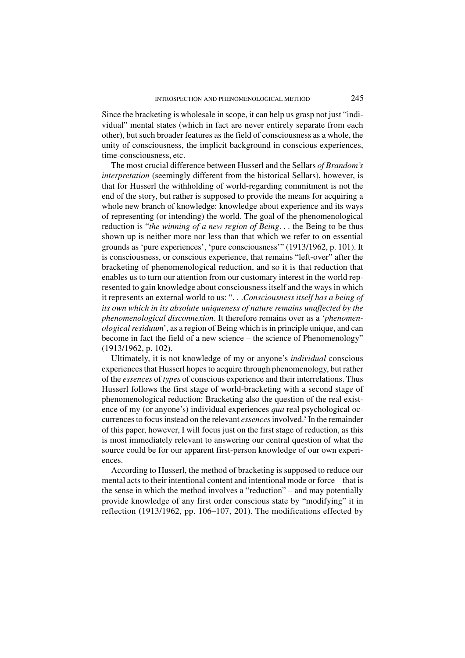Since the bracketing is wholesale in scope, it can help us grasp not just "individual" mental states (which in fact are never entirely separate from each other), but such broader features as the field of consciousness as a whole, the unity of consciousness, the implicit background in conscious experiences, time-consciousness, etc.

The most crucial difference between Husserl and the Sellars *of Brandom's interpretation* (seemingly different from the historical Sellars), however, is that for Husserl the withholding of world-regarding commitment is not the end of the story, but rather is supposed to provide the means for acquiring a whole new branch of knowledge: knowledge about experience and its ways of representing (or intending) the world. The goal of the phenomenological reduction is "*the winning of a new region of Being*. . . the Being to be thus shown up is neither more nor less than that which we refer to on essential grounds as 'pure experiences', 'pure consciousness'" (1913/1962, p. 101). It is consciousness, or conscious experience, that remains "left-over" after the bracketing of phenomenological reduction, and so it is that reduction that enables us to turn our attention from our customary interest in the world represented to gain knowledge about consciousness itself and the ways in which it represents an external world to us: ". . .*Consciousness itself has a being of its own which in its absolute uniqueness of nature remains unaffected by the phenomenological disconnexion*. It therefore remains over as a '*phenomenological residuum*', as a region of Being which is in principle unique, and can become in fact the field of a new science – the science of Phenomenology" (1913/1962, p. 102).

Ultimately, it is not knowledge of my or anyone's *individual* conscious experiences that Husserl hopes to acquire through phenomenology, but rather of the *essences* of *types* of conscious experience and their interrelations. Thus Husserl follows the first stage of world-bracketing with a second stage of phenomenological reduction: Bracketing also the question of the real existence of my (or anyone's) individual experiences *qua* real psychological occurrences to focus instead on the relevant *essences* involved.<sup>5</sup> In the remainder of this paper, however, I will focus just on the first stage of reduction, as this is most immediately relevant to answering our central question of what the source could be for our apparent first-person knowledge of our own experiences.

According to Husserl, the method of bracketing is supposed to reduce our mental acts to their intentional content and intentional mode or force – that is the sense in which the method involves a "reduction" – and may potentially provide knowledge of any first order conscious state by "modifying" it in reflection (1913/1962, pp. 106–107, 201). The modifications effected by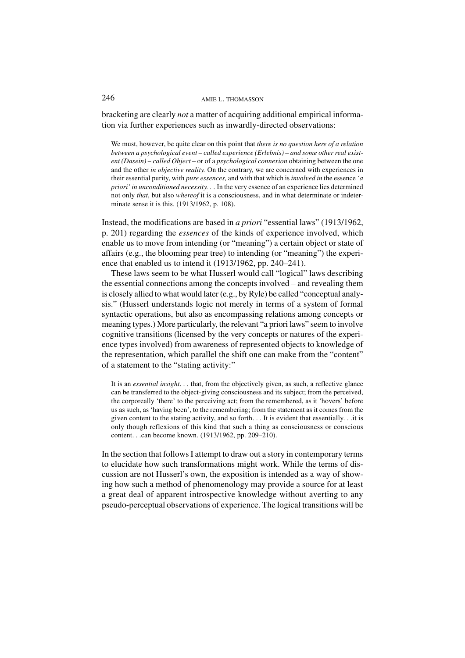bracketing are clearly *not* a matter of acquiring additional empirical information via further experiences such as inwardly-directed observations:

We must, however, be quite clear on this point that *there is no question here of a relation between a psychological event – called experience (Erlebnis) – and some other real existent (Dasein) – called Object –* or of a *psychological connexion* obtaining between the one and the other *in objective reality.* On the contrary, we are concerned with experiences in their essential purity, with *pure essences,* and with that which is *involved in* the essence *'a priori' in unconditioned necessity. . .* In the very essence of an experience lies determined not only *that*, but also *whereof* it is a consciousness, and in what determinate or indeterminate sense it is this. (1913/1962, p. 108).

Instead, the modifications are based in *a priori* "essential laws" (1913/1962, p. 201) regarding the *essences* of the kinds of experience involved, which enable us to move from intending (or "meaning") a certain object or state of affairs (e.g., the blooming pear tree) to intending (or "meaning") the experience that enabled us to intend it (1913/1962, pp. 240–241).

These laws seem to be what Husserl would call "logical" laws describing the essential connections among the concepts involved – and revealing them is closely allied to what would later (e.g., by Ryle) be called "conceptual analysis." (Husserl understands logic not merely in terms of a system of formal syntactic operations, but also as encompassing relations among concepts or meaning types.) More particularly, the relevant "a priori laws" seem to involve cognitive transitions (licensed by the very concepts or natures of the experience types involved) from awareness of represented objects to knowledge of the representation, which parallel the shift one can make from the "content" of a statement to the "stating activity:"

It is an *essential insight*. . . that, from the objectively given, as such, a reflective glance can be transferred to the object-giving consciousness and its subject; from the perceived, the corporeally 'there' to the perceiving act; from the remembered, as it 'hovers' before us as such, as 'having been', to the remembering; from the statement as it comes from the given content to the stating activity, and so forth. . . It is evident that essentially. . .it is only though reflexions of this kind that such a thing as consciousness or conscious content. . .can become known. (1913/1962, pp. 209–210).

In the section that follows I attempt to draw out a story in contemporary terms to elucidate how such transformations might work. While the terms of discussion are not Husserl's own, the exposition is intended as a way of showing how such a method of phenomenology may provide a source for at least a great deal of apparent introspective knowledge without averting to any pseudo-perceptual observations of experience. The logical transitions will be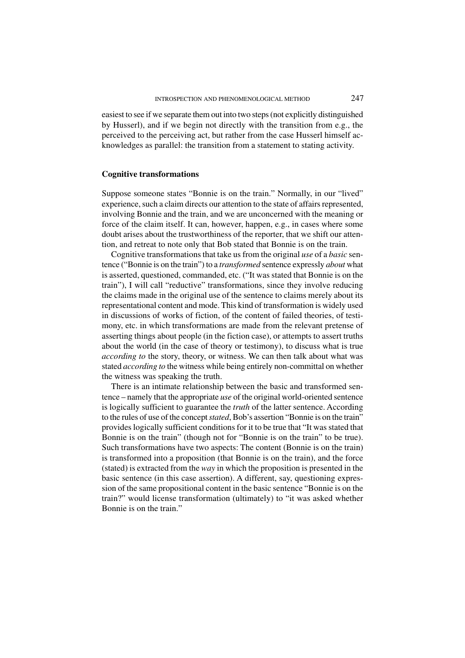easiest to see if we separate them out into two steps (not explicitly distinguished by Husserl), and if we begin not directly with the transition from e.g., the perceived to the perceiving act, but rather from the case Husserl himself acknowledges as parallel: the transition from a statement to stating activity.

#### **Cognitive transformations**

Suppose someone states "Bonnie is on the train." Normally, in our "lived" experience, such a claim directs our attention to the state of affairs represented, involving Bonnie and the train, and we are unconcerned with the meaning or force of the claim itself. It can, however, happen, e.g., in cases where some doubt arises about the trustworthiness of the reporter, that we shift our attention, and retreat to note only that Bob stated that Bonnie is on the train.

Cognitive transformations that take us from the original *use* of a *basic* sentence ("Bonnie is on the train") to a *transformed* sentence expressly *about* what is asserted, questioned, commanded, etc. ("It was stated that Bonnie is on the train"), I will call "reductive" transformations, since they involve reducing the claims made in the original use of the sentence to claims merely about its representational content and mode. This kind of transformation is widely used in discussions of works of fiction, of the content of failed theories, of testimony, etc. in which transformations are made from the relevant pretense of asserting things about people (in the fiction case), or attempts to assert truths about the world (in the case of theory or testimony), to discuss what is true *according to* the story, theory, or witness. We can then talk about what was stated *according to* the witness while being entirely non-committal on whether the witness was speaking the truth.

There is an intimate relationship between the basic and transformed sentence – namely that the appropriate *use* of the original world-oriented sentence is logically sufficient to guarantee the *truth* of the latter sentence. According to the rules of use of the concept *stated*, Bob's assertion "Bonnie is on the train" provides logically sufficient conditions for it to be true that "It was stated that Bonnie is on the train" (though not for "Bonnie is on the train" to be true). Such transformations have two aspects: The content (Bonnie is on the train) is transformed into a proposition (that Bonnie is on the train), and the force (stated) is extracted from the *way* in which the proposition is presented in the basic sentence (in this case assertion). A different, say, questioning expression of the same propositional content in the basic sentence "Bonnie is on the train?" would license transformation (ultimately) to "it was asked whether Bonnie is on the train."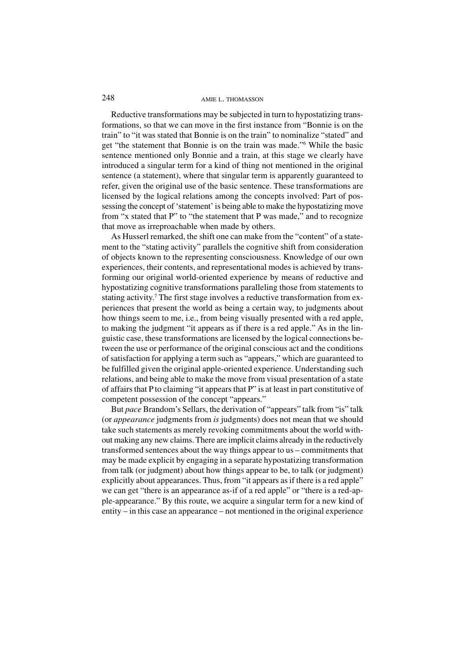Reductive transformations may be subjected in turn to hypostatizing transformations, so that we can move in the first instance from "Bonnie is on the train" to "it was stated that Bonnie is on the train" to nominalize "stated" and get "the statement that Bonnie is on the train was made."6 While the basic sentence mentioned only Bonnie and a train, at this stage we clearly have introduced a singular term for a kind of thing not mentioned in the original sentence (a statement), where that singular term is apparently guaranteed to refer, given the original use of the basic sentence. These transformations are licensed by the logical relations among the concepts involved: Part of possessing the concept of 'statement' is being able to make the hypostatizing move from "x stated that P" to "the statement that P was made," and to recognize that move as irreproachable when made by others.

As Husserl remarked, the shift one can make from the "content" of a statement to the "stating activity" parallels the cognitive shift from consideration of objects known to the representing consciousness. Knowledge of our own experiences, their contents, and representational modes is achieved by transforming our original world-oriented experience by means of reductive and hypostatizing cognitive transformations paralleling those from statements to stating activity.<sup>7</sup> The first stage involves a reductive transformation from experiences that present the world as being a certain way, to judgments about how things seem to me, i.e., from being visually presented with a red apple, to making the judgment "it appears as if there is a red apple." As in the linguistic case, these transformations are licensed by the logical connections between the use or performance of the original conscious act and the conditions of satisfaction for applying a term such as "appears," which are guaranteed to be fulfilled given the original apple-oriented experience. Understanding such relations, and being able to make the move from visual presentation of a state of affairs that P to claiming "it appears that P" is at least in part constitutive of competent possession of the concept "appears."

But *pace* Brandom's Sellars, the derivation of "appears" talk from "is" talk (or *appearance* judgments from *is* judgments) does not mean that we should take such statements as merely revoking commitments about the world without making any new claims. There are implicit claims already in the reductively transformed sentences about the way things appear to us – commitments that may be made explicit by engaging in a separate hypostatizing transformation from talk (or judgment) about how things appear to be, to talk (or judgment) explicitly about appearances. Thus, from "it appears as if there is a red apple" we can get "there is an appearance as-if of a red apple" or "there is a red-apple-appearance." By this route, we acquire a singular term for a new kind of entity – in this case an appearance – not mentioned in the original experience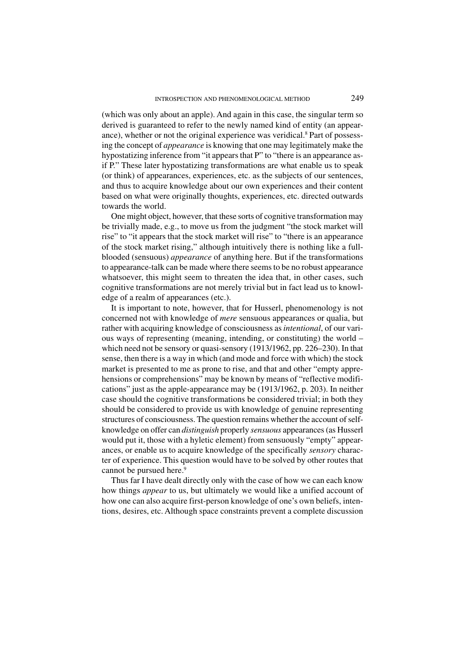(which was only about an apple). And again in this case, the singular term so derived is guaranteed to refer to the newly named kind of entity (an appearance), whether or not the original experience was veridical.<sup>8</sup> Part of possessing the concept of *appearance* is knowing that one may legitimately make the hypostatizing inference from "it appears that P" to "there is an appearance asif P." These later hypostatizing transformations are what enable us to speak (or think) of appearances, experiences, etc. as the subjects of our sentences, and thus to acquire knowledge about our own experiences and their content based on what were originally thoughts, experiences, etc. directed outwards towards the world.

One might object, however, that these sorts of cognitive transformation may be trivially made, e.g., to move us from the judgment "the stock market will rise" to "it appears that the stock market will rise" to "there is an appearance of the stock market rising," although intuitively there is nothing like a fullblooded (sensuous) *appearance* of anything here. But if the transformations to appearance-talk can be made where there seems to be no robust appearance whatsoever, this might seem to threaten the idea that, in other cases, such cognitive transformations are not merely trivial but in fact lead us to knowledge of a realm of appearances (etc.).

It is important to note, however, that for Husserl, phenomenology is not concerned not with knowledge of *mere* sensuous appearances or qualia, but rather with acquiring knowledge of consciousness as *intentional*, of our various ways of representing (meaning, intending, or constituting) the world – which need not be sensory or quasi-sensory (1913/1962, pp. 226–230). In that sense, then there is a way in which (and mode and force with which) the stock market is presented to me as prone to rise, and that and other "empty apprehensions or comprehensions" may be known by means of "reflective modifications" just as the apple-appearance may be (1913/1962, p. 203). In neither case should the cognitive transformations be considered trivial; in both they should be considered to provide us with knowledge of genuine representing structures of consciousness. The question remains whether the account of selfknowledge on offer can *distinguish* properly *sensuous* appearances (as Husserl would put it, those with a hyletic element) from sensuously "empty" appearances, or enable us to acquire knowledge of the specifically *sensory* character of experience. This question would have to be solved by other routes that cannot be pursued here.<sup>9</sup>

Thus far I have dealt directly only with the case of how we can each know how things *appear* to us, but ultimately we would like a unified account of how one can also acquire first-person knowledge of one's own beliefs, intentions, desires, etc. Although space constraints prevent a complete discussion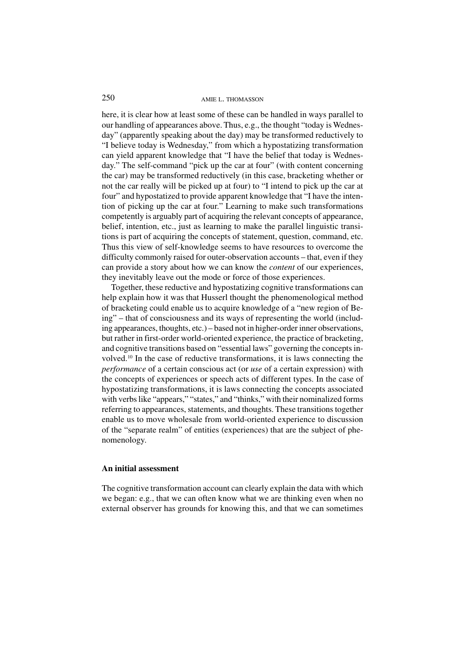here, it is clear how at least some of these can be handled in ways parallel to our handling of appearances above. Thus, e.g., the thought "today is Wednesday" (apparently speaking about the day) may be transformed reductively to "I believe today is Wednesday," from which a hypostatizing transformation can yield apparent knowledge that "I have the belief that today is Wednesday." The self-command "pick up the car at four" (with content concerning the car) may be transformed reductively (in this case, bracketing whether or not the car really will be picked up at four) to "I intend to pick up the car at four" and hypostatized to provide apparent knowledge that "I have the intention of picking up the car at four." Learning to make such transformations competently is arguably part of acquiring the relevant concepts of appearance, belief, intention, etc., just as learning to make the parallel linguistic transitions is part of acquiring the concepts of statement, question, command, etc. Thus this view of self-knowledge seems to have resources to overcome the difficulty commonly raised for outer-observation accounts – that, even if they can provide a story about how we can know the *content* of our experiences, they inevitably leave out the mode or force of those experiences.

Together, these reductive and hypostatizing cognitive transformations can help explain how it was that Husserl thought the phenomenological method of bracketing could enable us to acquire knowledge of a "new region of Being" – that of consciousness and its ways of representing the world (including appearances, thoughts, etc.) – based not in higher-order inner observations, but rather in first-order world-oriented experience, the practice of bracketing, and cognitive transitions based on "essential laws" governing the concepts involved.10 In the case of reductive transformations, it is laws connecting the *performance* of a certain conscious act (or *use* of a certain expression) with the concepts of experiences or speech acts of different types. In the case of hypostatizing transformations, it is laws connecting the concepts associated with verbs like "appears," "states," and "thinks," with their nominalized forms referring to appearances, statements, and thoughts. These transitions together enable us to move wholesale from world-oriented experience to discussion of the "separate realm" of entities (experiences) that are the subject of phenomenology.

## **An initial assessment**

The cognitive transformation account can clearly explain the data with which we began: e.g., that we can often know what we are thinking even when no external observer has grounds for knowing this, and that we can sometimes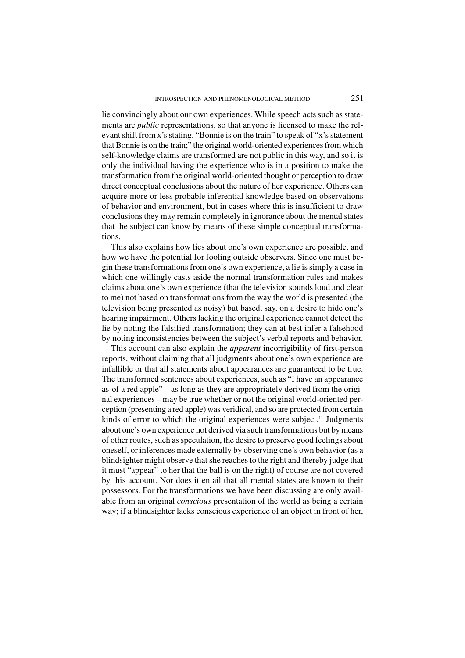lie convincingly about our own experiences. While speech acts such as statements are *public* representations, so that anyone is licensed to make the relevant shift from x's stating, "Bonnie is on the train" to speak of "x's statement that Bonnie is on the train;" the original world-oriented experiences from which self-knowledge claims are transformed are not public in this way, and so it is only the individual having the experience who is in a position to make the transformation from the original world-oriented thought or perception to draw direct conceptual conclusions about the nature of her experience. Others can acquire more or less probable inferential knowledge based on observations of behavior and environment, but in cases where this is insufficient to draw conclusions they may remain completely in ignorance about the mental states that the subject can know by means of these simple conceptual transformations.

This also explains how lies about one's own experience are possible, and how we have the potential for fooling outside observers. Since one must begin these transformations from one's own experience, a lie is simply a case in which one willingly casts aside the normal transformation rules and makes claims about one's own experience (that the television sounds loud and clear to me) not based on transformations from the way the world is presented (the television being presented as noisy) but based, say, on a desire to hide one's hearing impairment. Others lacking the original experience cannot detect the lie by noting the falsified transformation; they can at best infer a falsehood by noting inconsistencies between the subject's verbal reports and behavior.

This account can also explain the *apparent* incorrigibility of first-person reports, without claiming that all judgments about one's own experience are infallible or that all statements about appearances are guaranteed to be true. The transformed sentences about experiences, such as "I have an appearance as-of a red apple" – as long as they are appropriately derived from the original experiences – may be true whether or not the original world-oriented perception (presenting a red apple) was veridical, and so are protected from certain kinds of error to which the original experiences were subject.<sup>11</sup> Judgments about one's own experience not derived via such transformations but by means of other routes, such as speculation, the desire to preserve good feelings about oneself, or inferences made externally by observing one's own behavior (as a blindsighter might observe that she reaches to the right and thereby judge that it must "appear" to her that the ball is on the right) of course are not covered by this account. Nor does it entail that all mental states are known to their possessors. For the transformations we have been discussing are only available from an original *conscious* presentation of the world as being a certain way; if a blindsighter lacks conscious experience of an object in front of her,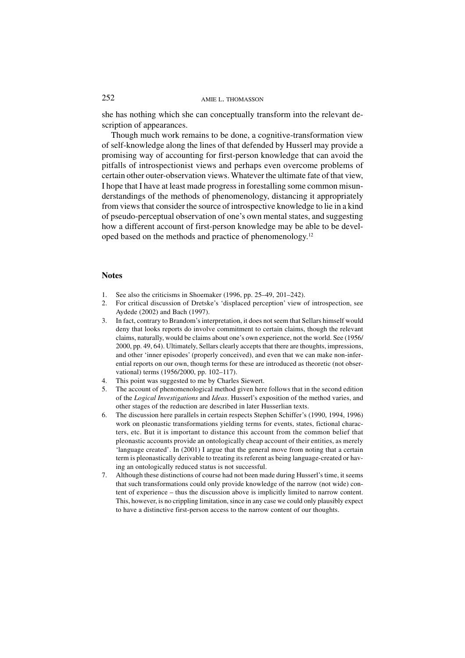she has nothing which she can conceptually transform into the relevant description of appearances.

Though much work remains to be done, a cognitive-transformation view of self-knowledge along the lines of that defended by Husserl may provide a promising way of accounting for first-person knowledge that can avoid the pitfalls of introspectionist views and perhaps even overcome problems of certain other outer-observation views. Whatever the ultimate fate of that view, I hope that I have at least made progress in forestalling some common misunderstandings of the methods of phenomenology, distancing it appropriately from views that consider the source of introspective knowledge to lie in a kind of pseudo-perceptual observation of one's own mental states, and suggesting how a different account of first-person knowledge may be able to be developed based on the methods and practice of phenomenology.12

#### **Notes**

- 1. See also the criticisms in Shoemaker (1996, pp. 25–49, 201–242).
- 2. For critical discussion of Dretske's 'displaced perception' view of introspection, see Aydede (2002) and Bach (1997).
- 3. In fact, contrary to Brandom's interpretation, it does not seem that Sellars himself would deny that looks reports do involve commitment to certain claims, though the relevant claims, naturally, would be claims about one's own experience, not the world. See (1956/ 2000, pp. 49, 64). Ultimately, Sellars clearly accepts that there are thoughts, impressions, and other 'inner episodes' (properly conceived), and even that we can make non-inferential reports on our own, though terms for these are introduced as theoretic (not observational) terms (1956/2000, pp. 102–117).
- 4. This point was suggested to me by Charles Siewert.
- 5. The account of phenomenological method given here follows that in the second edition of the *Logical Investigations* and *Ideas*. Husserl's exposition of the method varies, and other stages of the reduction are described in later Husserlian texts.
- 6. The discussion here parallels in certain respects Stephen Schiffer's (1990, 1994, 1996) work on pleonastic transformations yielding terms for events, states, fictional characters, etc. But it is important to distance this account from the common belief that pleonastic accounts provide an ontologically cheap account of their entities, as merely 'language created'. In (2001) I argue that the general move from noting that a certain term is pleonastically derivable to treating its referent as being language-created or having an ontologically reduced status is not successful.
- 7. Although these distinctions of course had not been made during Husserl's time, it seems that such transformations could only provide knowledge of the narrow (not wide) content of experience – thus the discussion above is implicitly limited to narrow content. This, however, is no crippling limitation, since in any case we could only plausibly expect to have a distinctive first-person access to the narrow content of our thoughts.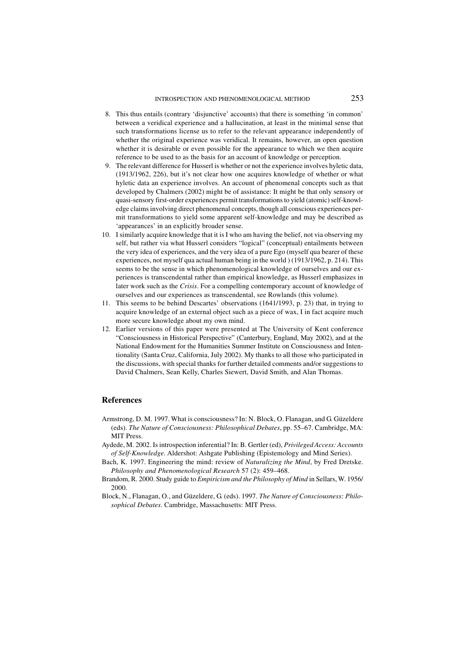- 8. This thus entails (contrary 'disjunctive' accounts) that there is something 'in common' between a veridical experience and a hallucination, at least in the minimal sense that such transformations license us to refer to the relevant appearance independently of whether the original experience was veridical. It remains, however, an open question whether it is desirable or even possible for the appearance to which we then acquire reference to be used to as the basis for an account of knowledge or perception.
- 9. The relevant difference for Husserl is whether or not the experience involves hyletic data, (1913/1962, 226), but it's not clear how one acquires knowledge of whether or what hyletic data an experience involves. An account of phenomenal concepts such as that developed by Chalmers (2002) might be of assistance: It might be that only sensory or quasi-sensory first-order experiences permit transformations to yield (atomic) self-knowledge claims involving direct phenomenal concepts, though all conscious experiences permit transformations to yield some apparent self-knowledge and may be described as 'appearances' in an explicitly broader sense.
- 10. I similarly acquire knowledge that it is I who am having the belief, not via observing my self, but rather via what Husserl considers "logical" (conceptual) entailments between the very idea of experiences, and the very idea of a pure Ego (myself qua bearer of these experiences, not myself qua actual human being in the world ) (1913/1962, p. 214). This seems to be the sense in which phenomenological knowledge of ourselves and our experiences is transcendental rather than empirical knowledge, as Husserl emphasizes in later work such as the *Crisis*. For a compelling contemporary account of knowledge of ourselves and our experiences as transcendental, see Rowlands (this volume).
- 11. This seems to be behind Descartes' observations (1641/1993, p. 23) that, in trying to acquire knowledge of an external object such as a piece of wax, I in fact acquire much more secure knowledge about my own mind.
- 12. Earlier versions of this paper were presented at The University of Kent conference "Consciousness in Historical Perspective" (Canterbury, England, May 2002), and at the National Endowment for the Humanities Summer Institute on Consciousness and Intentionality (Santa Cruz, California, July 2002). My thanks to all those who participated in the discussions, with special thanks for further detailed comments and/or suggestions to David Chalmers, Sean Kelly, Charles Siewert, David Smith, and Alan Thomas.

### **References**

- Armstrong, D. M. 1997. What is consciousness? In: N. Block, O. Flanagan, and G. Güzeldere (eds). *The Nature of Consciousness: Philosophical Debates*, pp. 55–67. Cambridge, MA: MIT Press.
- Aydede, M. 2002. Is introspection inferential? In: B. Gertler (ed), *Privileged Access: Accounts of Self-Knowledge*. Aldershot: Ashgate Publishing (Epistemology and Mind Series).
- Bach, K. 1997. Engineering the mind: review of *Naturalizing the Mind*, by Fred Dretske. *Philosophy and Phenomenological Research* 57 (2): 459–468.
- Brandom, R. 2000. Study guide to *Empiricism and the Philosophy of Mind* in Sellars, W. 1956/ 2000.
- Block, N., Flanagan, O., and Güzeldere, G. (eds). 1997. *The Nature of Consciousness: Philosophical Debates*. Cambridge, Massachusetts: MIT Press.